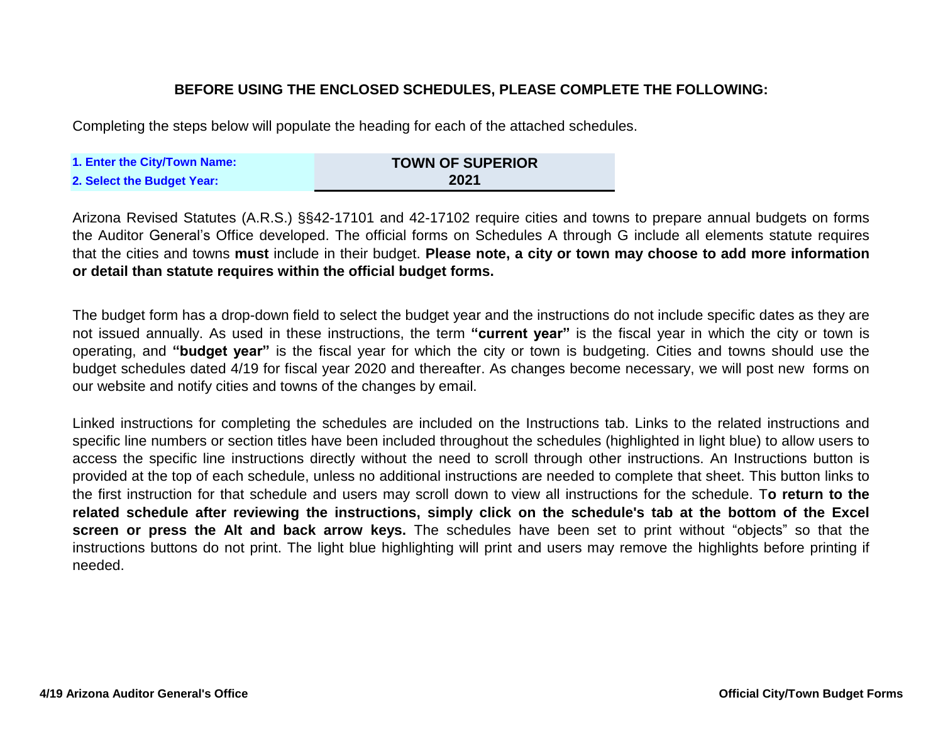# **BEFORE USING THE ENCLOSED SCHEDULES, PLEASE COMPLETE THE FOLLOWING:**

Completing the steps below will populate the heading for each of the attached schedules.

| 1. Enter the City/Town Name: | <b>TOWN OF SUPERIOR</b> |
|------------------------------|-------------------------|
| 2. Select the Budget Year:   | 2021                    |

Arizona Revised Statutes (A.R.S.) §§42-17101 and 42-17102 require cities and towns to prepare annual budgets on forms the Auditor General's Office developed. The official forms on Schedules A through G include all elements statute requires that the cities and towns **must** include in their budget. **Please note, a city or town may choose to add more information or detail than statute requires within the official budget forms.**

The budget form has a drop-down field to select the budget year and the instructions do not include specific dates as they are not issued annually. As used in these instructions, the term **"current year"** is the fiscal year in which the city or town is operating, and **"budget year"** is the fiscal year for which the city or town is budgeting. Cities and towns should use the budget schedules dated 4/19 for fiscal year 2020 and thereafter. As changes become necessary, we will post new forms on our website and notify cities and towns of the changes by email.

Linked instructions for completing the schedules are included on the Instructions tab. Links to the related instructions and specific line numbers or section titles have been included throughout the schedules (highlighted in light blue) to allow users to access the specific line instructions directly without the need to scroll through other instructions. An Instructions button is provided at the top of each schedule, unless no additional instructions are needed to complete that sheet. This button links to the first instruction for that schedule and users may scroll down to view all instructions for the schedule. T**o return to the** related schedule after reviewing the instructions, simply click on the schedule's tab at the bottom of the Excel **screen or press the Alt and back arrow keys.** The schedules have been set to print without "objects" so that the instructions buttons do not print. The light blue highlighting will print and users may remove the highlights before printing if needed.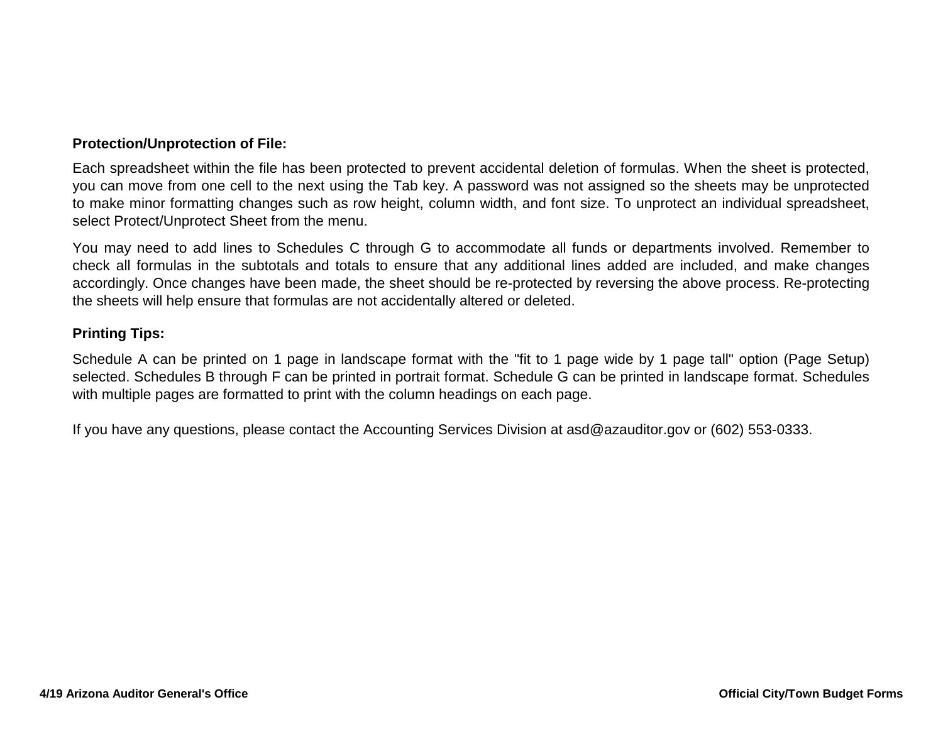## **Protection/Unprotection of File:**

Each spreadsheet within the file has been protected to prevent accidental deletion of formulas. When the sheet is protected, you can move from one cell to the next using the Tab key. A password was not assigned so the sheets may be unprotected to make minor formatting changes such as row height, column width, and font size. To unprotect an individual spreadsheet, select Protect/Unprotect Sheet from the menu.

You may need to add lines to Schedules C through G to accommodate all funds or departments involved. Remember to check all formulas in the subtotals and totals to ensure that any additional lines added are included, and make changes accordingly. Once changes have been made, the sheet should be re-protected by reversing the above process. Re-protecting the sheets will help ensure that formulas are not accidentally altered or deleted.

### **Printing Tips:**

Schedule A can be printed on 1 page in landscape format with the "fit to 1 page wide by 1 page tall" option (Page Setup) selected. Schedules B through F can be printed in portrait format. Schedule G can be printed in landscape format. Schedules with multiple pages are formatted to print with the column headings on each page.

If you have any questions, please contact the Accounting Services Division at asd@azauditor.gov or (602) 553-0333.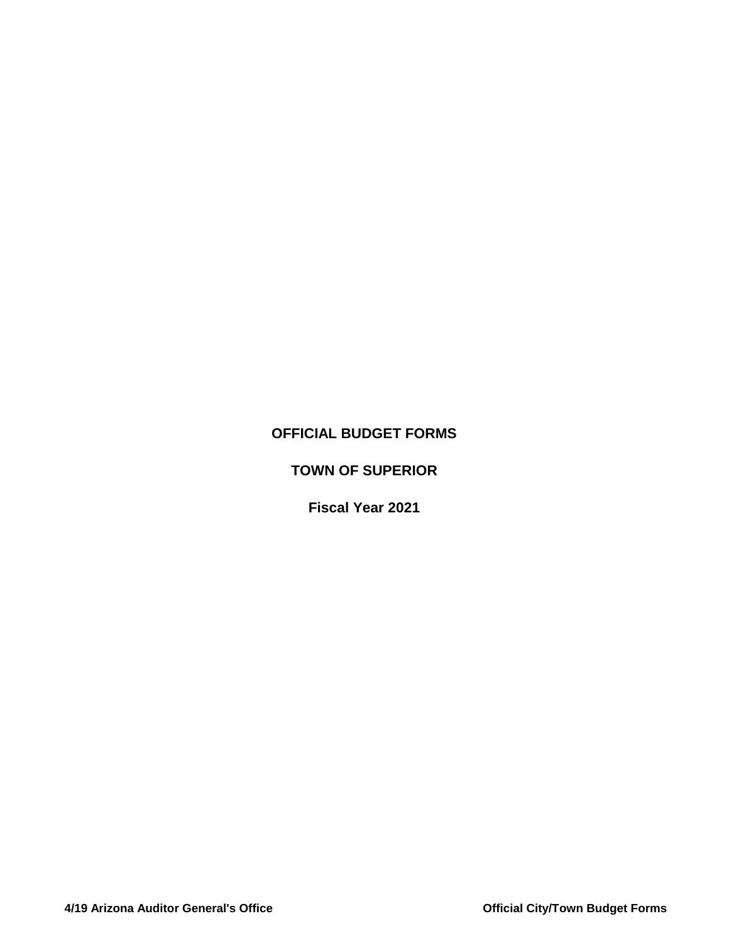# **OFFICIAL BUDGET FORMS**

# **TOWN OF SUPERIOR**

# **Fiscal Year 2021**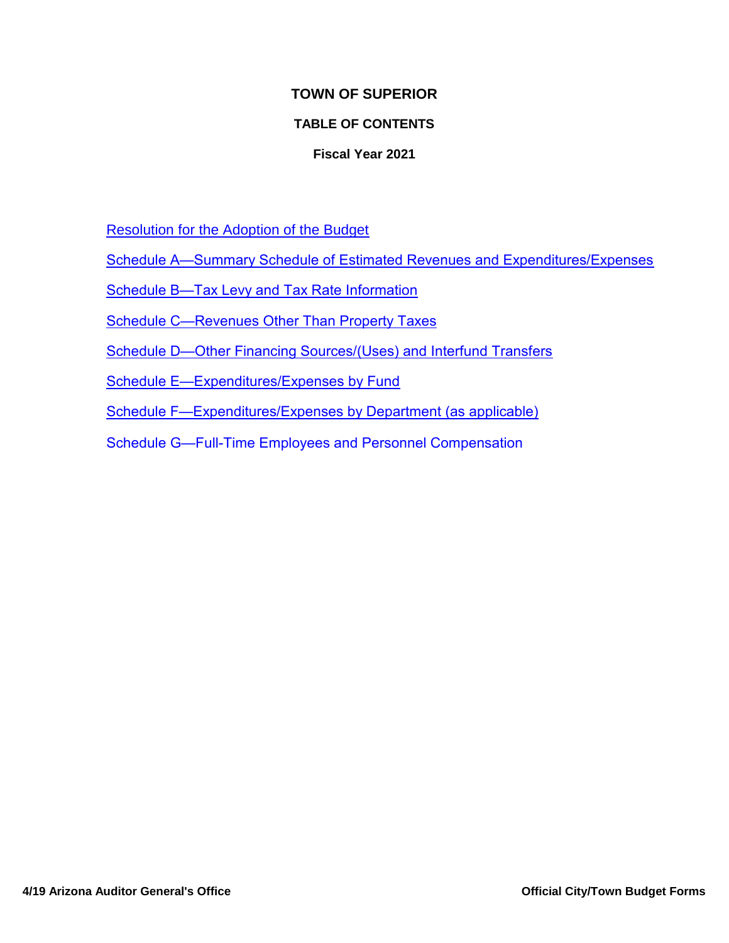# **TOWN OF SUPERIOR**

# **TABLE OF CONTENTS**

## **Fiscal Year 2021**

Resolution for the Adoption of the Budget

Schedule A—Summary Schedule of Estimated Revenues and Expenditures/Expenses

Schedule B—Tax Levy and Tax Rate Information

Schedule C—Revenues Other Than Property Taxes

Schedule D—Other Financing Sources/(Uses) and Interfund Transfers

Schedule E—Expenditures/Expenses by Fund

Schedule F—Expenditures/Expenses by Department (as applicable)

Schedule G—Full-Time Employees and Personnel Compensation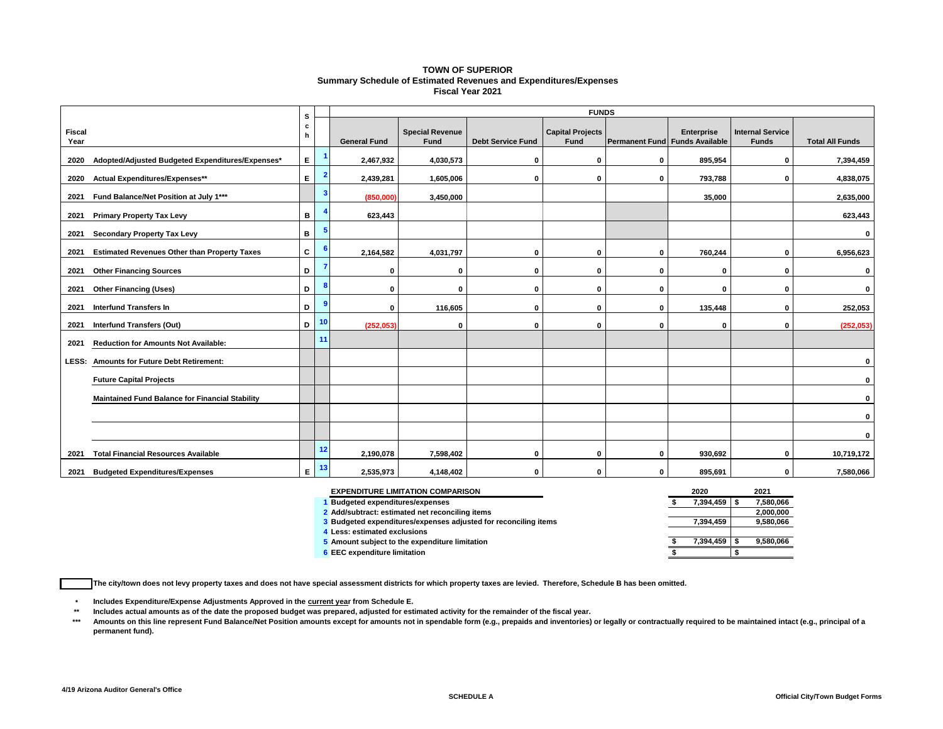#### **TOWN OF SUPERIOR Summary Schedule of Estimated Revenues and Expenditures/Expenses Fiscal Year 2021**

|                |                                                        | s      |    |                     |                                |                          | <b>FUNDS</b>                    |              |                                                     |                                         |                        |
|----------------|--------------------------------------------------------|--------|----|---------------------|--------------------------------|--------------------------|---------------------------------|--------------|-----------------------------------------------------|-----------------------------------------|------------------------|
| Fiscal<br>Year |                                                        | c<br>h |    | <b>General Fund</b> | <b>Special Revenue</b><br>Fund | <b>Debt Service Fund</b> | <b>Capital Projects</b><br>Fund |              | <b>Enterprise</b><br>Permanent Fund Funds Available | <b>Internal Service</b><br><b>Funds</b> | <b>Total All Funds</b> |
| 2020           | Adopted/Adjusted Budgeted Expenditures/Expenses*       | E.     |    | 2,467,932           | 4,030,573                      | $\bf{0}$                 | $\mathbf{0}$                    | $\mathbf 0$  | 895,954                                             | 0                                       | 7,394,459              |
| 2020           | <b>Actual Expenditures/Expenses**</b>                  | E.     | 2  | 2,439,281           | 1,605,006                      | $\Omega$                 | $\mathbf{0}$                    | $\mathbf{0}$ | 793,788                                             | O                                       | 4,838,075              |
| 2021           | Fund Balance/Net Position at July 1***                 |        |    | (850,000)           | 3,450,000                      |                          |                                 |              | 35,000                                              |                                         | 2,635,000              |
| 2021           | <b>Primary Property Tax Levy</b>                       | B      |    | 623,443             |                                |                          |                                 |              |                                                     |                                         | 623,443                |
| 2021           | <b>Secondary Property Tax Levy</b>                     | В      |    |                     |                                |                          |                                 |              |                                                     |                                         | 0                      |
| 2021           | <b>Estimated Revenues Other than Property Taxes</b>    | C      |    | 2,164,582           | 4,031,797                      | $\bf{0}$                 | $\mathbf 0$                     | $\mathbf 0$  | 760,244                                             | $\Omega$                                | 6,956,623              |
| 2021           | <b>Other Financing Sources</b>                         | D      |    | $\mathbf{0}$        | $\mathbf{0}$                   | 0                        | 0                               | $\mathbf{0}$ | $\mathbf{0}$                                        | 0                                       | 0                      |
| 2021           | <b>Other Financing (Uses)</b>                          | D      | 8  | $\mathbf{0}$        | $\mathbf{0}$                   | 0                        | $\mathbf{0}$                    | $\mathbf{0}$ | $\mathbf{0}$                                        | $\Omega$                                |                        |
| 2021           | <b>Interfund Transfers In</b>                          | D      | 9  | 0                   | 116,605                        | $\mathbf{0}$             | $\mathbf 0$                     | $\mathbf 0$  | 135,448                                             | 0                                       | 252,053                |
| 2021           | <b>Interfund Transfers (Out)</b>                       | D      | 10 | (252, 053)          | $\mathbf 0$                    | $\mathbf{0}$             | $\mathbf{0}$                    | $\mathbf{0}$ | $\mathbf 0$                                         | $\Omega$                                | (252,053)              |
| 2021           | Reduction for Amounts Not Available:                   |        | 11 |                     |                                |                          |                                 |              |                                                     |                                         |                        |
|                | LESS: Amounts for Future Debt Retirement:              |        |    |                     |                                |                          |                                 |              |                                                     |                                         | $\Omega$               |
|                | <b>Future Capital Projects</b>                         |        |    |                     |                                |                          |                                 |              |                                                     |                                         | $\Omega$               |
|                | <b>Maintained Fund Balance for Financial Stability</b> |        |    |                     |                                |                          |                                 |              |                                                     |                                         | n                      |
|                |                                                        |        |    |                     |                                |                          |                                 |              |                                                     |                                         | $\Omega$               |
|                |                                                        |        |    |                     |                                |                          |                                 |              |                                                     |                                         |                        |
| 2021           | <b>Total Financial Resources Available</b>             |        | 12 | 2,190,078           | 7,598,402                      | 0                        | $\mathbf{0}$                    | $\mathbf{0}$ | 930,692                                             | $\Omega$                                | 10,719,172             |
| 2021           | <b>Budgeted Expenditures/Expenses</b>                  | E.     | 13 | 2,535,973           | 4,148,402                      | $\bf{0}$                 | $\mathbf{0}$                    | $\mathbf{0}$ | 895,691                                             | 0                                       | 7,580,066              |

| <b>EXPENDITURE LIMITATION COMPARISON</b>                        | 2020      | 2021      |
|-----------------------------------------------------------------|-----------|-----------|
| <b>Budgeted expenditures/expenses</b>                           | 7.394.459 | 7,580,066 |
| 2 Add/subtract: estimated net reconciling items                 |           | 2.000.000 |
| 3 Budgeted expenditures/expenses adjusted for reconciling items | 7.394.459 | 9.580.066 |
| 4 Less: estimated exclusions                                    |           |           |
| 5 Amount subject to the expenditure limitation                  | 7.394.459 | 9.580.066 |
| 6 EEC expenditure limitation                                    |           |           |

**The city/town does not levy property taxes and does not have special assessment districts for which property taxes are levied. Therefore, Schedule B has been omitted.**

**\* Includes Expenditure/Expense Adjustments Approved in the current year from Schedule E.** 

**Includes actual amounts as of the date the proposed budget was prepared, adjusted for estimated activity for the remainder of the fiscal year.**

**\*\*** Amounts on this line represent Fund Balance/Net Position amounts except for amounts not in spendable form (e.g., prepaids and inventories) or legally or contractually required to be maintained intact (e.g., principal of a **permanent fund).**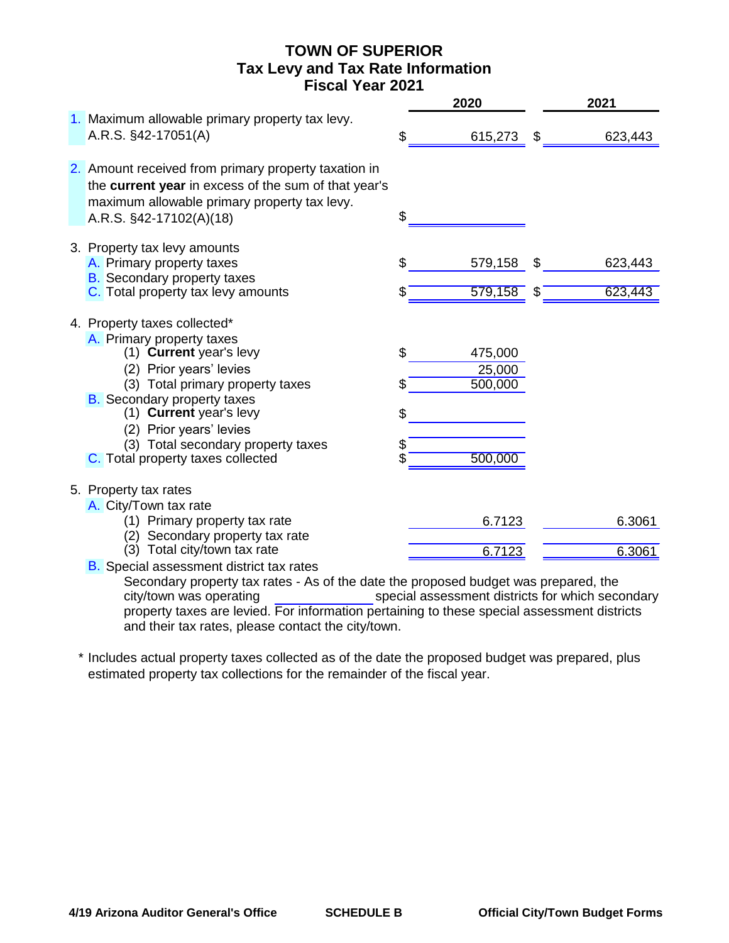# **TOWN OF SUPERIOR Tax Levy and Tax Rate Information Fiscal Year 2021**

|                                                                                                                                                                                                                                                                                                                            |                | 2020                                                 |          | 2021               |
|----------------------------------------------------------------------------------------------------------------------------------------------------------------------------------------------------------------------------------------------------------------------------------------------------------------------------|----------------|------------------------------------------------------|----------|--------------------|
| 1. Maximum allowable primary property tax levy.<br>A.R.S. §42-17051(A)                                                                                                                                                                                                                                                     | \$             | 615,273                                              | \$       | 623,443            |
| 2. Amount received from primary property taxation in<br>the current year in excess of the sum of that year's<br>maximum allowable primary property tax levy.<br>A.R.S. §42-17102(A)(18)                                                                                                                                    | \$             |                                                      |          |                    |
| 3. Property tax levy amounts<br>A. Primary property taxes<br><b>B.</b> Secondary property taxes<br>C. Total property tax levy amounts                                                                                                                                                                                      | \$<br>\$       | 579,158<br>579,158                                   | \$<br>\$ | 623,443<br>623,443 |
| 4. Property taxes collected*<br>A. Primary property taxes<br>(1) Current year's levy<br>(2) Prior years' levies<br>(3) Total primary property taxes<br><b>B.</b> Secondary property taxes<br>(1) Current year's levy<br>(2) Prior years' levies<br>(3) Total secondary property taxes<br>C. Total property taxes collected | \$<br>\$<br>\$ | 475,000<br>25,000<br>$\overline{500,000}$<br>500,000 |          |                    |
| 5. Property tax rates<br>A. City/Town tax rate<br>(1) Primary property tax rate<br>(2) Secondary property tax rate<br>(3) Total city/town tax rate<br><b>B.</b> Special assessment district tax rates                                                                                                                      |                | 6.7123<br>6.7123                                     |          | 6.3061<br>6.3061   |

Secondary property tax rates - As of the date the proposed budget was prepared, the special assessment districts for which secondary property taxes are levied. For information pertaining to these special assessment districts and their tax rates, please contact the city/town. city/town was operating

\* Includes actual property taxes collected as of the date the proposed budget was prepared, plus estimated property tax collections for the remainder of the fiscal year.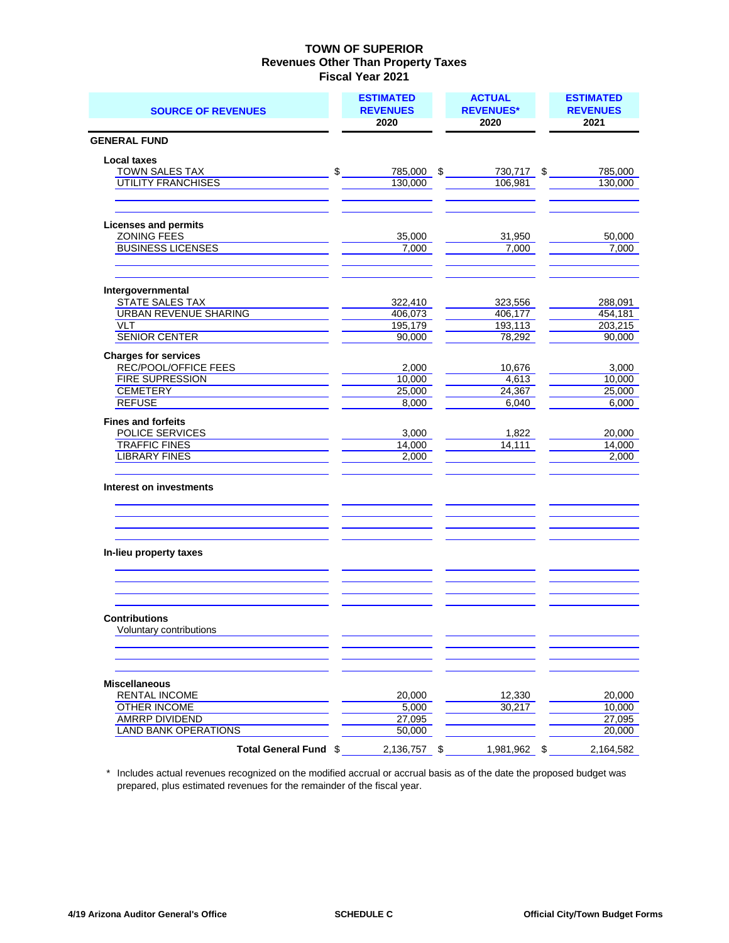| <b>SOURCE OF REVENUES</b>                         | <b>ESTIMATED</b><br><b>REVENUES</b><br>2020 | <b>ACTUAL</b><br><b>REVENUES*</b><br>2020 | <b>ESTIMATED</b><br><b>REVENUES</b><br>2021 |
|---------------------------------------------------|---------------------------------------------|-------------------------------------------|---------------------------------------------|
| <b>GENERAL FUND</b>                               |                                             |                                           |                                             |
| <b>Local taxes</b><br><b>TOWN SALES TAX</b>       | \$<br>785,000                               | \$<br>730,717 \$                          | 785,000                                     |
| <b>UTILITY FRANCHISES</b>                         | 130,000                                     | 106,981                                   | 130,000                                     |
| <b>Licenses and permits</b><br><b>ZONING FEES</b> | 35,000                                      | 31,950                                    | 50,000                                      |
| <b>BUSINESS LICENSES</b>                          | 7,000                                       | 7,000                                     | 7,000                                       |
| Intergovernmental                                 |                                             |                                           |                                             |
| STATE SALES TAX                                   | 322,410                                     | 323,556                                   | 288,091                                     |
| <b>URBAN REVENUE SHARING</b>                      | 406,073                                     | 406,177                                   | 454,181                                     |
| <b>VLT</b><br><b>SENIOR CENTER</b>                | 195,179<br>90,000                           | 193,113<br>78,292                         | 203,215<br>90,000                           |
| <b>Charges for services</b>                       |                                             |                                           |                                             |
| REC/POOL/OFFICE FEES                              | 2,000                                       | 10,676                                    | 3,000                                       |
| <b>FIRE SUPRESSION</b>                            | 10,000                                      | 4,613                                     | 10,000                                      |
| CEMETERY<br><b>REFUSE</b>                         | 25,000<br>8,000                             | 24,367<br>6,040                           | 25,000<br>6,000                             |
|                                                   |                                             |                                           |                                             |
| <b>Fines and forfeits</b><br>POLICE SERVICES      | 3,000                                       | 1,822                                     | 20,000                                      |
| <b>TRAFFIC FINES</b>                              | 14,000                                      | 14,111                                    | 14,000                                      |
| <b>LIBRARY FINES</b>                              | 2,000                                       |                                           | 2,000                                       |
| Interest on investments                           |                                             |                                           |                                             |
| In-lieu property taxes                            |                                             |                                           |                                             |
| <b>Contributions</b>                              |                                             |                                           |                                             |
| Voluntary contributions                           |                                             |                                           |                                             |
| <b>Miscellaneous</b>                              |                                             |                                           |                                             |
| <b>RENTAL INCOME</b><br>OTHER INCOME              | 20,000<br>5,000                             | 12,330<br>30,217                          | 20.000<br>10,000                            |
| <b>AMRRP DIVIDEND</b>                             | 27,095                                      |                                           | 27,095                                      |
| <b>LAND BANK OPERATIONS</b>                       | 50,000                                      |                                           | 20,000                                      |
| Total General Fund \$                             | 2,136,757                                   | \$<br>1,981,962 \$                        | 2,164,582                                   |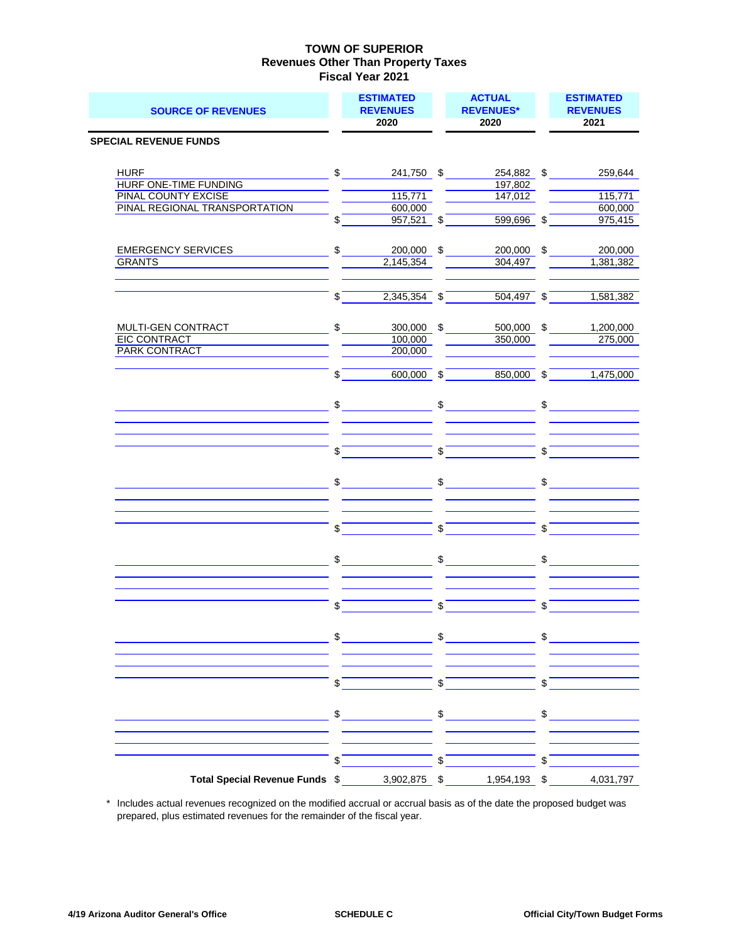| <b>SOURCE OF REVENUES</b>                                                                      |               | <b>ESTIMATED</b><br><b>REVENUES</b><br>2020 |                         | <b>ACTUAL</b><br><b>REVENUES*</b><br>2020                                                                                                                                                                                                                                                                                                                                                                                                                       |               | <b>ESTIMATED</b><br><b>REVENUES</b><br>2021 |
|------------------------------------------------------------------------------------------------|---------------|---------------------------------------------|-------------------------|-----------------------------------------------------------------------------------------------------------------------------------------------------------------------------------------------------------------------------------------------------------------------------------------------------------------------------------------------------------------------------------------------------------------------------------------------------------------|---------------|---------------------------------------------|
| <b>SPECIAL REVENUE FUNDS</b>                                                                   |               |                                             |                         |                                                                                                                                                                                                                                                                                                                                                                                                                                                                 |               |                                             |
| <b>HURF</b><br>HURF ONE-TIME FUNDING<br><b>PINAL COUNTY EXCISE</b>                             |               | $\mathbb{S}$<br>241,750 \$                  |                         | 254,882 \$<br>197,802                                                                                                                                                                                                                                                                                                                                                                                                                                           |               | 259,644                                     |
| PINAL REGIONAL TRANSPORTATION                                                                  | \$            | 115,771<br>600,000<br>$957,521$ \$          |                         | 147,012<br>599,696 \$                                                                                                                                                                                                                                                                                                                                                                                                                                           |               | 115,771<br>600,000<br>975,415               |
| <b>EMERGENCY SERVICES</b>                                                                      | \$            | 200,000                                     | \$                      | 200,000                                                                                                                                                                                                                                                                                                                                                                                                                                                         | \$            | 200,000                                     |
| <b>GRANTS</b>                                                                                  |               | 2,145,354                                   |                         | 304,497                                                                                                                                                                                                                                                                                                                                                                                                                                                         |               | 1,381,382                                   |
|                                                                                                | \$            | 2,345,354 \$                                |                         | $504,497$ \$                                                                                                                                                                                                                                                                                                                                                                                                                                                    |               | 1,581,382                                   |
| MULTI-GEN CONTRACT<br><b>EIC CONTRACT</b><br><b>PARK CONTRACT</b>                              | $\mathsf{\$}$ | 300,000 \$<br>100,000<br>200,000            |                         | 500,000 \$<br>350,000                                                                                                                                                                                                                                                                                                                                                                                                                                           |               | 1,200,000<br>275,000                        |
|                                                                                                | \$            | 600,000                                     | \$                      | 850,000                                                                                                                                                                                                                                                                                                                                                                                                                                                         | \$            | 1,475,000                                   |
|                                                                                                | \$            |                                             | \$                      |                                                                                                                                                                                                                                                                                                                                                                                                                                                                 | \$            |                                             |
|                                                                                                | \$            |                                             | \$                      |                                                                                                                                                                                                                                                                                                                                                                                                                                                                 | \$            |                                             |
|                                                                                                | $S_{-}$       |                                             |                         | $\frac{1}{\sqrt{2}}$                                                                                                                                                                                                                                                                                                                                                                                                                                            | $\mathsf{\$}$ |                                             |
|                                                                                                | \$            |                                             | \$                      |                                                                                                                                                                                                                                                                                                                                                                                                                                                                 | \$            |                                             |
|                                                                                                | \$            |                                             | \$                      |                                                                                                                                                                                                                                                                                                                                                                                                                                                                 | \$            |                                             |
|                                                                                                | \$            |                                             | \$                      |                                                                                                                                                                                                                                                                                                                                                                                                                                                                 | \$            |                                             |
| <u> 1980 - Johann Barn, mars eta inperiodo</u>                                                 |               |                                             |                         | $\frac{1}{2}$ $\frac{1}{2}$ $\frac{1}{2}$ $\frac{1}{2}$ $\frac{1}{2}$ $\frac{1}{2}$ $\frac{1}{2}$ $\frac{1}{2}$ $\frac{1}{2}$ $\frac{1}{2}$ $\frac{1}{2}$ $\frac{1}{2}$ $\frac{1}{2}$ $\frac{1}{2}$ $\frac{1}{2}$ $\frac{1}{2}$ $\frac{1}{2}$ $\frac{1}{2}$ $\frac{1}{2}$ $\frac{1}{2}$ $\frac{1}{2}$ $\frac{1}{2}$                                                                                                                                             |               |                                             |
|                                                                                                | \$            |                                             | $\sqrt[6]{\frac{1}{2}}$ |                                                                                                                                                                                                                                                                                                                                                                                                                                                                 | $\sqrt{s}$    |                                             |
|                                                                                                |               |                                             |                         | $\begin{array}{ccc}\n\text{\$} & \text{\$} & \text{\$} & \text{\$} & \text{\$} & \text{\$} & \text{\$} & \text{\$} & \text{\$} & \text{\$} & \text{\$} & \text{\$} & \text{\$} & \text{\$} & \text{\$} & \text{\$} & \text{\$} & \text{\$} & \text{\$} & \text{\$} & \text{\$} & \text{\$} & \text{\$} & \text{\$} & \text{\$} & \text{\$} & \text{\$} & \text{\$} & \text{\$} & \text{\$} & \text{\$} & \text{\$} & \text{\$} & \text{\$} & \text{\$} & \text$ |               |                                             |
|                                                                                                |               |                                             |                         |                                                                                                                                                                                                                                                                                                                                                                                                                                                                 |               |                                             |
| Total Special Revenue Funds \$ ________ 3,902,875 \ \$ _______ 1,954,193 \ \$ ______ 4,031,797 | \$            |                                             | \$                      |                                                                                                                                                                                                                                                                                                                                                                                                                                                                 | \$            |                                             |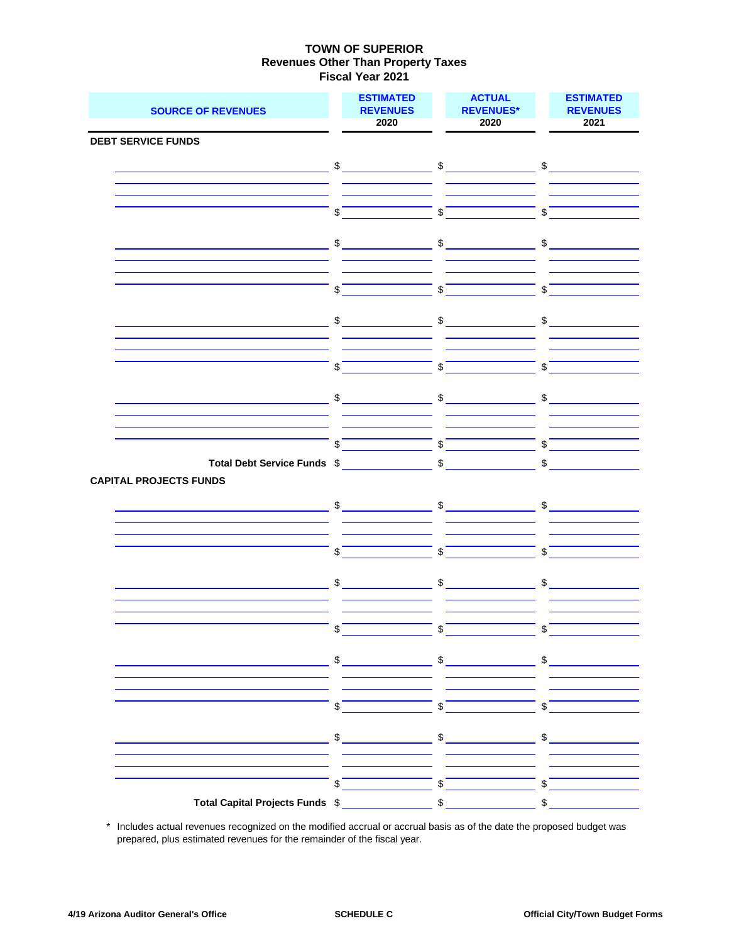| <b>SOURCE OF REVENUES</b>                                 | <b>ESTIMATED</b><br><b>REVENUES</b><br>2020                                                                                                                                                                                                                                                                                                         | <b>ACTUAL</b><br><b>REVENUES*</b><br>2020                                                                                                                                                                                                                                                                           | <b>ESTIMATED</b><br><b>REVENUES</b><br>2021 |
|-----------------------------------------------------------|-----------------------------------------------------------------------------------------------------------------------------------------------------------------------------------------------------------------------------------------------------------------------------------------------------------------------------------------------------|---------------------------------------------------------------------------------------------------------------------------------------------------------------------------------------------------------------------------------------------------------------------------------------------------------------------|---------------------------------------------|
| <b>DEBT SERVICE FUNDS</b>                                 |                                                                                                                                                                                                                                                                                                                                                     |                                                                                                                                                                                                                                                                                                                     |                                             |
|                                                           |                                                                                                                                                                                                                                                                                                                                                     |                                                                                                                                                                                                                                                                                                                     |                                             |
|                                                           | $\frac{1}{2}$                                                                                                                                                                                                                                                                                                                                       | $\frac{1}{\sqrt{2}}$                                                                                                                                                                                                                                                                                                | $\frac{1}{2}$                               |
|                                                           |                                                                                                                                                                                                                                                                                                                                                     |                                                                                                                                                                                                                                                                                                                     |                                             |
|                                                           | \$                                                                                                                                                                                                                                                                                                                                                  | \$                                                                                                                                                                                                                                                                                                                  | \$                                          |
|                                                           |                                                                                                                                                                                                                                                                                                                                                     |                                                                                                                                                                                                                                                                                                                     |                                             |
|                                                           | $\frac{1}{2}$                                                                                                                                                                                                                                                                                                                                       | $\frac{1}{2}$                                                                                                                                                                                                                                                                                                       | \$                                          |
|                                                           |                                                                                                                                                                                                                                                                                                                                                     |                                                                                                                                                                                                                                                                                                                     |                                             |
|                                                           |                                                                                                                                                                                                                                                                                                                                                     |                                                                                                                                                                                                                                                                                                                     |                                             |
|                                                           | \$                                                                                                                                                                                                                                                                                                                                                  | $\mathsf{\$}$                                                                                                                                                                                                                                                                                                       | \$                                          |
|                                                           |                                                                                                                                                                                                                                                                                                                                                     |                                                                                                                                                                                                                                                                                                                     |                                             |
|                                                           | $\begin{picture}(20,10) \put(0,0){\line(1,0){10}} \put(15,0){\line(1,0){10}} \put(15,0){\line(1,0){10}} \put(15,0){\line(1,0){10}} \put(15,0){\line(1,0){10}} \put(15,0){\line(1,0){10}} \put(15,0){\line(1,0){10}} \put(15,0){\line(1,0){10}} \put(15,0){\line(1,0){10}} \put(15,0){\line(1,0){10}} \put(15,0){\line(1,0){10}} \put(15,0){\line(1$ | $\sim$                                                                                                                                                                                                                                                                                                              | $\sim$                                      |
|                                                           |                                                                                                                                                                                                                                                                                                                                                     |                                                                                                                                                                                                                                                                                                                     |                                             |
|                                                           | \$                                                                                                                                                                                                                                                                                                                                                  | $\int$                                                                                                                                                                                                                                                                                                              | $\boldsymbol{\mathsf{S}}$                   |
|                                                           |                                                                                                                                                                                                                                                                                                                                                     |                                                                                                                                                                                                                                                                                                                     |                                             |
|                                                           | $\frac{1}{2}$                                                                                                                                                                                                                                                                                                                                       | $\sim$                                                                                                                                                                                                                                                                                                              | \$                                          |
|                                                           |                                                                                                                                                                                                                                                                                                                                                     |                                                                                                                                                                                                                                                                                                                     |                                             |
|                                                           |                                                                                                                                                                                                                                                                                                                                                     |                                                                                                                                                                                                                                                                                                                     |                                             |
|                                                           | \$                                                                                                                                                                                                                                                                                                                                                  | \$                                                                                                                                                                                                                                                                                                                  | \$                                          |
| Total Debt Service Funds \$ __________________ \$ _______ |                                                                                                                                                                                                                                                                                                                                                     |                                                                                                                                                                                                                                                                                                                     | $\sim$                                      |
| <b>CAPITAL PROJECTS FUNDS</b>                             |                                                                                                                                                                                                                                                                                                                                                     |                                                                                                                                                                                                                                                                                                                     |                                             |
| <u> 1989 - Johann Barn, fransk politik (</u>              | $\begin{array}{c c} \updownarrow \end{array}$                                                                                                                                                                                                                                                                                                       | $\frac{1}{2}$                                                                                                                                                                                                                                                                                                       | $\frac{1}{2}$                               |
|                                                           |                                                                                                                                                                                                                                                                                                                                                     |                                                                                                                                                                                                                                                                                                                     |                                             |
|                                                           |                                                                                                                                                                                                                                                                                                                                                     |                                                                                                                                                                                                                                                                                                                     |                                             |
|                                                           | \$                                                                                                                                                                                                                                                                                                                                                  | \$                                                                                                                                                                                                                                                                                                                  | \$                                          |
|                                                           |                                                                                                                                                                                                                                                                                                                                                     |                                                                                                                                                                                                                                                                                                                     |                                             |
|                                                           | \$                                                                                                                                                                                                                                                                                                                                                  | \$                                                                                                                                                                                                                                                                                                                  | \$                                          |
|                                                           |                                                                                                                                                                                                                                                                                                                                                     |                                                                                                                                                                                                                                                                                                                     |                                             |
|                                                           |                                                                                                                                                                                                                                                                                                                                                     |                                                                                                                                                                                                                                                                                                                     |                                             |
|                                                           | $\frac{1}{2}$                                                                                                                                                                                                                                                                                                                                       | $\int$                                                                                                                                                                                                                                                                                                              | $\sqrt{s}$                                  |
| <u> 1986 - John Stein, Amerikaansk politiker (</u>        |                                                                                                                                                                                                                                                                                                                                                     | $\frac{1}{2}$ $\frac{1}{2}$ $\frac{1}{2}$ $\frac{1}{2}$ $\frac{1}{2}$ $\frac{1}{2}$ $\frac{1}{2}$ $\frac{1}{2}$ $\frac{1}{2}$ $\frac{1}{2}$ $\frac{1}{2}$ $\frac{1}{2}$ $\frac{1}{2}$ $\frac{1}{2}$ $\frac{1}{2}$ $\frac{1}{2}$ $\frac{1}{2}$ $\frac{1}{2}$ $\frac{1}{2}$ $\frac{1}{2}$ $\frac{1}{2}$ $\frac{1}{2}$ |                                             |
|                                                           |                                                                                                                                                                                                                                                                                                                                                     |                                                                                                                                                                                                                                                                                                                     |                                             |
|                                                           |                                                                                                                                                                                                                                                                                                                                                     |                                                                                                                                                                                                                                                                                                                     |                                             |
|                                                           |                                                                                                                                                                                                                                                                                                                                                     | $\frac{1}{2}$ $\frac{1}{2}$ $\frac{1}{2}$ $\frac{1}{2}$ $\frac{1}{2}$ $\frac{1}{2}$ $\frac{1}{2}$ $\frac{1}{2}$ $\frac{1}{2}$ $\frac{1}{2}$ $\frac{1}{2}$ $\frac{1}{2}$ $\frac{1}{2}$ $\frac{1}{2}$ $\frac{1}{2}$ $\frac{1}{2}$ $\frac{1}{2}$ $\frac{1}{2}$ $\frac{1}{2}$ $\frac{1}{2}$ $\frac{1}{2}$ $\frac{1}{2}$ |                                             |
|                                                           |                                                                                                                                                                                                                                                                                                                                                     |                                                                                                                                                                                                                                                                                                                     |                                             |
|                                                           |                                                                                                                                                                                                                                                                                                                                                     |                                                                                                                                                                                                                                                                                                                     |                                             |
| <u> 1989 - Jan Stein Stein, fransk politik (f. 1989)</u>  |                                                                                                                                                                                                                                                                                                                                                     |                                                                                                                                                                                                                                                                                                                     |                                             |
|                                                           |                                                                                                                                                                                                                                                                                                                                                     |                                                                                                                                                                                                                                                                                                                     |                                             |
|                                                           |                                                                                                                                                                                                                                                                                                                                                     | $\frac{1}{2}$ $\frac{1}{2}$ $\frac{1}{2}$ $\frac{1}{2}$ $\frac{1}{2}$ $\frac{1}{2}$ $\frac{1}{2}$ $\frac{1}{2}$ $\frac{1}{2}$ $\frac{1}{2}$ $\frac{1}{2}$ $\frac{1}{2}$ $\frac{1}{2}$ $\frac{1}{2}$ $\frac{1}{2}$ $\frac{1}{2}$ $\frac{1}{2}$ $\frac{1}{2}$ $\frac{1}{2}$ $\frac{1}{2}$ $\frac{1}{2}$ $\frac{1}{2}$ |                                             |
|                                                           |                                                                                                                                                                                                                                                                                                                                                     |                                                                                                                                                                                                                                                                                                                     |                                             |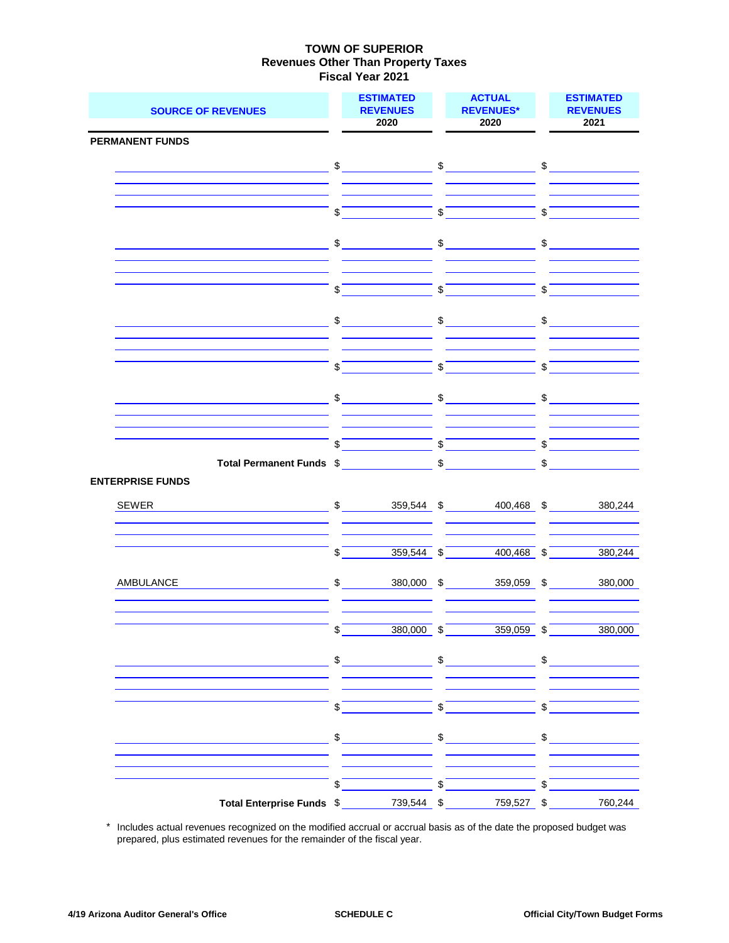| <b>SOURCE OF REVENUES</b>                                    | <b>ESTIMATED</b><br><b>REVENUES</b><br>2020                                                                                                                                                                                                                                                                                                                         |                           | <b>ACTUAL</b><br><b>REVENUES*</b><br>2020                                                                                                                                                                                                                                                                                                                                                                                                                                       | <b>ESTIMATED</b><br><b>REVENUES</b><br>2021                          |
|--------------------------------------------------------------|---------------------------------------------------------------------------------------------------------------------------------------------------------------------------------------------------------------------------------------------------------------------------------------------------------------------------------------------------------------------|---------------------------|---------------------------------------------------------------------------------------------------------------------------------------------------------------------------------------------------------------------------------------------------------------------------------------------------------------------------------------------------------------------------------------------------------------------------------------------------------------------------------|----------------------------------------------------------------------|
| <b>PERMANENT FUNDS</b>                                       |                                                                                                                                                                                                                                                                                                                                                                     |                           |                                                                                                                                                                                                                                                                                                                                                                                                                                                                                 |                                                                      |
|                                                              | $\sim$                                                                                                                                                                                                                                                                                                                                                              |                           | $\sim$                                                                                                                                                                                                                                                                                                                                                                                                                                                                          | $\sim$                                                               |
|                                                              |                                                                                                                                                                                                                                                                                                                                                                     |                           |                                                                                                                                                                                                                                                                                                                                                                                                                                                                                 |                                                                      |
|                                                              |                                                                                                                                                                                                                                                                                                                                                                     |                           |                                                                                                                                                                                                                                                                                                                                                                                                                                                                                 |                                                                      |
|                                                              | \$                                                                                                                                                                                                                                                                                                                                                                  | $\boldsymbol{\mathsf{S}}$ |                                                                                                                                                                                                                                                                                                                                                                                                                                                                                 | \$                                                                   |
|                                                              |                                                                                                                                                                                                                                                                                                                                                                     |                           |                                                                                                                                                                                                                                                                                                                                                                                                                                                                                 |                                                                      |
|                                                              | $\begin{picture}(20,20) \put(0,0){\vector(1,0){100}} \put(15,0){\vector(1,0){100}} \put(15,0){\vector(1,0){100}} \put(15,0){\vector(1,0){100}} \put(15,0){\vector(1,0){100}} \put(15,0){\vector(1,0){100}} \put(15,0){\vector(1,0){100}} \put(15,0){\vector(1,0){100}} \put(15,0){\vector(1,0){100}} \put(15,0){\vector(1,0){100}} \put(15,0){\vector(1,0){100}} \$ |                           | $\frac{1}{\sqrt{1-\frac{1}{2}}}\frac{1}{\sqrt{1-\frac{1}{2}}}\frac{1}{\sqrt{1-\frac{1}{2}}}\frac{1}{\sqrt{1-\frac{1}{2}}}\frac{1}{\sqrt{1-\frac{1}{2}}}\frac{1}{\sqrt{1-\frac{1}{2}}}\frac{1}{\sqrt{1-\frac{1}{2}}}\frac{1}{\sqrt{1-\frac{1}{2}}}\frac{1}{\sqrt{1-\frac{1}{2}}}\frac{1}{\sqrt{1-\frac{1}{2}}}\frac{1}{\sqrt{1-\frac{1}{2}}}\frac{1}{\sqrt{1-\frac{1}{2}}}\frac{1}{\sqrt{1-\frac{1}{2}}}\frac{1}{\sqrt{1-\frac{$                                                 | $\begin{array}{c c} \updownarrow & \downarrow \\ \hline \end{array}$ |
|                                                              |                                                                                                                                                                                                                                                                                                                                                                     |                           |                                                                                                                                                                                                                                                                                                                                                                                                                                                                                 |                                                                      |
|                                                              | \$                                                                                                                                                                                                                                                                                                                                                                  | \$                        |                                                                                                                                                                                                                                                                                                                                                                                                                                                                                 | \$                                                                   |
|                                                              |                                                                                                                                                                                                                                                                                                                                                                     |                           |                                                                                                                                                                                                                                                                                                                                                                                                                                                                                 |                                                                      |
|                                                              | \$                                                                                                                                                                                                                                                                                                                                                                  | \$                        |                                                                                                                                                                                                                                                                                                                                                                                                                                                                                 | \$                                                                   |
|                                                              |                                                                                                                                                                                                                                                                                                                                                                     |                           |                                                                                                                                                                                                                                                                                                                                                                                                                                                                                 |                                                                      |
|                                                              | \$                                                                                                                                                                                                                                                                                                                                                                  | $\mathbf{\hat{z}}$        |                                                                                                                                                                                                                                                                                                                                                                                                                                                                                 | \$                                                                   |
|                                                              |                                                                                                                                                                                                                                                                                                                                                                     |                           |                                                                                                                                                                                                                                                                                                                                                                                                                                                                                 |                                                                      |
|                                                              | $\frac{1}{\sqrt{2}}$                                                                                                                                                                                                                                                                                                                                                |                           | $\frac{1}{2}$                                                                                                                                                                                                                                                                                                                                                                                                                                                                   | $\frac{1}{2}$                                                        |
|                                                              |                                                                                                                                                                                                                                                                                                                                                                     |                           |                                                                                                                                                                                                                                                                                                                                                                                                                                                                                 |                                                                      |
|                                                              | \$                                                                                                                                                                                                                                                                                                                                                                  | \$                        |                                                                                                                                                                                                                                                                                                                                                                                                                                                                                 | \$                                                                   |
| Total Permanent Funds \$                                     |                                                                                                                                                                                                                                                                                                                                                                     | $\sqrt[6]{\frac{1}{2}}$   |                                                                                                                                                                                                                                                                                                                                                                                                                                                                                 | \$                                                                   |
| <b>ENTERPRISE FUNDS</b>                                      |                                                                                                                                                                                                                                                                                                                                                                     |                           |                                                                                                                                                                                                                                                                                                                                                                                                                                                                                 |                                                                      |
| SEWER                                                        | $\frac{1}{2}$<br>359,544 \$                                                                                                                                                                                                                                                                                                                                         |                           | 400,468 \$                                                                                                                                                                                                                                                                                                                                                                                                                                                                      | 380,244                                                              |
|                                                              |                                                                                                                                                                                                                                                                                                                                                                     |                           |                                                                                                                                                                                                                                                                                                                                                                                                                                                                                 |                                                                      |
|                                                              |                                                                                                                                                                                                                                                                                                                                                                     |                           |                                                                                                                                                                                                                                                                                                                                                                                                                                                                                 |                                                                      |
|                                                              | \$<br>$359,544$ \$                                                                                                                                                                                                                                                                                                                                                  |                           | $400,468$ \$                                                                                                                                                                                                                                                                                                                                                                                                                                                                    | 380,244                                                              |
| <b>AMBULANCE</b>                                             | \$<br>380,000 \$                                                                                                                                                                                                                                                                                                                                                    |                           | 359,059 \$                                                                                                                                                                                                                                                                                                                                                                                                                                                                      | 380,000                                                              |
|                                                              |                                                                                                                                                                                                                                                                                                                                                                     |                           |                                                                                                                                                                                                                                                                                                                                                                                                                                                                                 |                                                                      |
|                                                              |                                                                                                                                                                                                                                                                                                                                                                     |                           |                                                                                                                                                                                                                                                                                                                                                                                                                                                                                 |                                                                      |
|                                                              | \$<br>$380,000$ \$                                                                                                                                                                                                                                                                                                                                                  |                           | $359,059$ \$                                                                                                                                                                                                                                                                                                                                                                                                                                                                    | 380,000                                                              |
| <u> 1980 - Johann Barn, mars an t-Amerikaansk ferske omr</u> |                                                                                                                                                                                                                                                                                                                                                                     |                           |                                                                                                                                                                                                                                                                                                                                                                                                                                                                                 |                                                                      |
|                                                              |                                                                                                                                                                                                                                                                                                                                                                     |                           |                                                                                                                                                                                                                                                                                                                                                                                                                                                                                 |                                                                      |
|                                                              |                                                                                                                                                                                                                                                                                                                                                                     |                           |                                                                                                                                                                                                                                                                                                                                                                                                                                                                                 |                                                                      |
|                                                              | $\frac{1}{1}$                                                                                                                                                                                                                                                                                                                                                       |                           | $\overline{\phantom{a}}$ $\overline{\phantom{a}}$ $\overline{\phantom{a}}$ $\overline{\phantom{a}}$ $\overline{\phantom{a}}$ $\overline{\phantom{a}}$ $\overline{\phantom{a}}$ $\overline{\phantom{a}}$ $\overline{\phantom{a}}$ $\overline{\phantom{a}}$ $\overline{\phantom{a}}$ $\overline{\phantom{a}}$ $\overline{\phantom{a}}$ $\overline{\phantom{a}}$ $\overline{\phantom{a}}$ $\overline{\phantom{a}}$ $\overline{\phantom{a}}$ $\overline{\phantom{a}}$ $\overline{\$ |                                                                      |
|                                                              | $\sim$                                                                                                                                                                                                                                                                                                                                                              |                           | $\sim$                                                                                                                                                                                                                                                                                                                                                                                                                                                                          | $\sim$                                                               |
|                                                              |                                                                                                                                                                                                                                                                                                                                                                     |                           |                                                                                                                                                                                                                                                                                                                                                                                                                                                                                 |                                                                      |
|                                                              |                                                                                                                                                                                                                                                                                                                                                                     |                           |                                                                                                                                                                                                                                                                                                                                                                                                                                                                                 |                                                                      |
|                                                              | $\sqrt{5}$                                                                                                                                                                                                                                                                                                                                                          |                           | $\overline{\phantom{a}}$ $\overline{\phantom{a}}$ $\overline{\phantom{a}}$                                                                                                                                                                                                                                                                                                                                                                                                      | $\int$                                                               |
|                                                              |                                                                                                                                                                                                                                                                                                                                                                     |                           |                                                                                                                                                                                                                                                                                                                                                                                                                                                                                 | 760,244                                                              |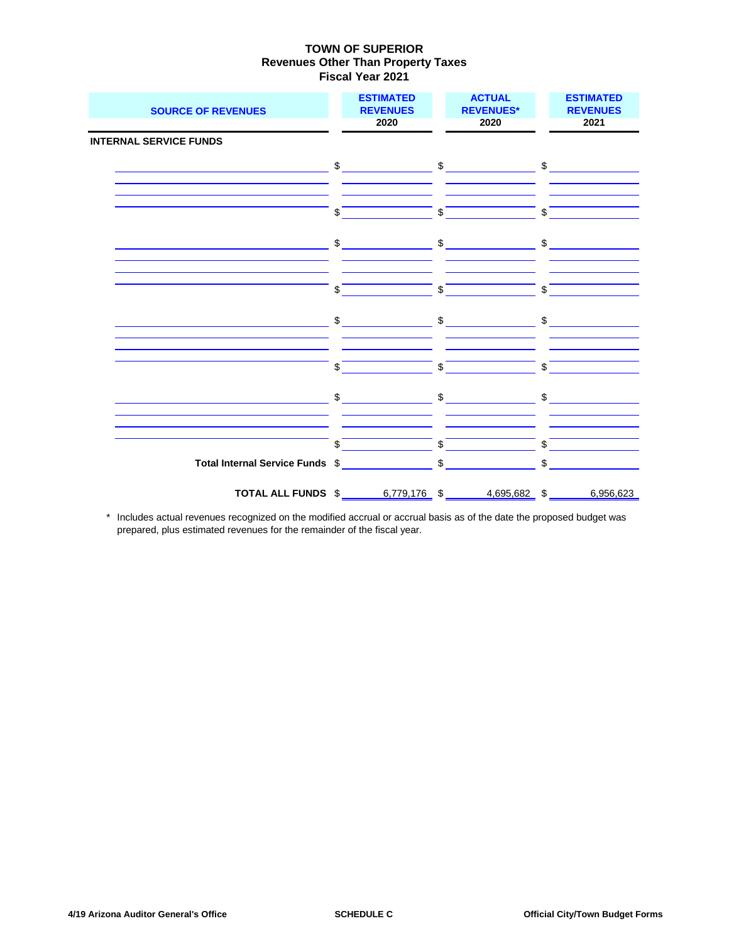| <b>SOURCE OF REVENUES</b>     | <b>ESTIMATED</b><br><b>REVENUES</b><br>2020            | <b>ACTUAL</b><br><b>REVENUES*</b><br>2020                                                                                                                                                                                                                                                                           | <b>ESTIMATED</b><br><b>REVENUES</b><br>2021 |
|-------------------------------|--------------------------------------------------------|---------------------------------------------------------------------------------------------------------------------------------------------------------------------------------------------------------------------------------------------------------------------------------------------------------------------|---------------------------------------------|
| <b>INTERNAL SERVICE FUNDS</b> |                                                        |                                                                                                                                                                                                                                                                                                                     |                                             |
|                               |                                                        |                                                                                                                                                                                                                                                                                                                     |                                             |
|                               | \$                                                     | $\overline{\text{S}}$                                                                                                                                                                                                                                                                                               | \$                                          |
|                               | $\frac{1}{2}$                                          |                                                                                                                                                                                                                                                                                                                     | $\sim$ $\sim$ $\sim$ $\sim$ $\sim$          |
|                               | \$                                                     | $\mathbb{S}$                                                                                                                                                                                                                                                                                                        | $\mathbf{\$}$                               |
|                               | $\qquad \qquad \$$                                     | $\frac{1}{2}$ $\frac{1}{2}$ $\frac{1}{2}$ $\frac{1}{2}$ $\frac{1}{2}$ $\frac{1}{2}$ $\frac{1}{2}$ $\frac{1}{2}$ $\frac{1}{2}$ $\frac{1}{2}$ $\frac{1}{2}$ $\frac{1}{2}$ $\frac{1}{2}$ $\frac{1}{2}$ $\frac{1}{2}$ $\frac{1}{2}$ $\frac{1}{2}$ $\frac{1}{2}$ $\frac{1}{2}$ $\frac{1}{2}$ $\frac{1}{2}$ $\frac{1}{2}$ |                                             |
|                               | \$                                                     | $\overline{\text{S}}$                                                                                                                                                                                                                                                                                               | $\sqrt{s}$                                  |
|                               |                                                        | $\sim$ \$ \$ \$                                                                                                                                                                                                                                                                                                     |                                             |
|                               | $\sqrt{5}$                                             | $\frac{1}{2}$ \$                                                                                                                                                                                                                                                                                                    | $\sqrt{s}$                                  |
|                               |                                                        |                                                                                                                                                                                                                                                                                                                     | $$\overline{\phantom{a}3}$                  |
|                               | TOTAL ALL FUNDS \$ 6,779,176 \$ 4,695,682 \$ 6,956,623 |                                                                                                                                                                                                                                                                                                                     |                                             |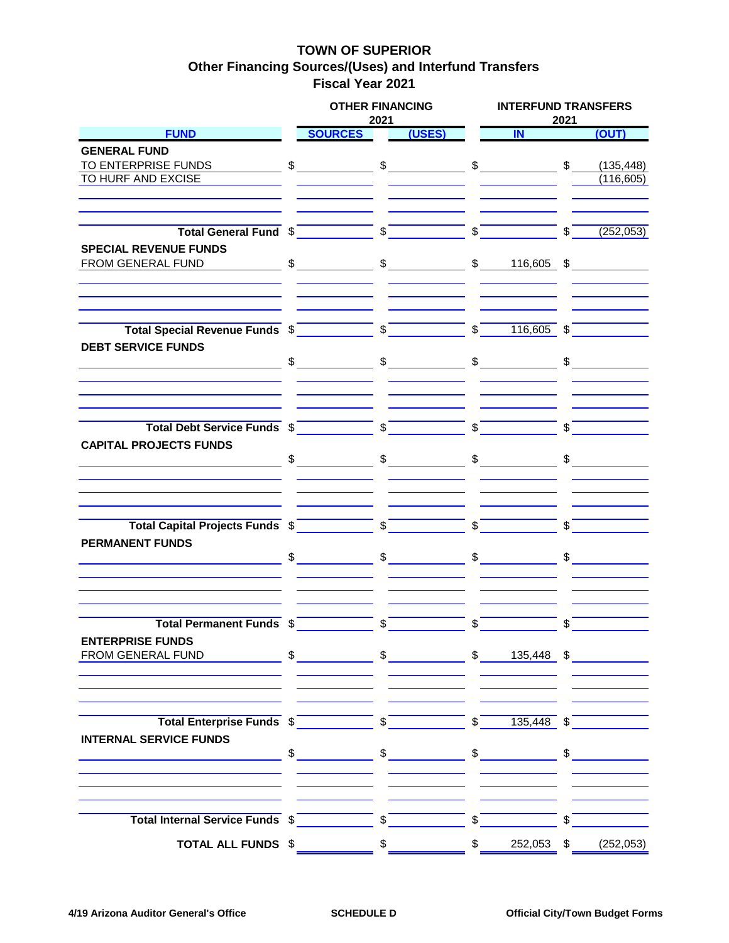## **TOWN OF SUPERIOR Other Financing Sources/(Uses) and Interfund Transfers Fiscal Year 2021**

|                                                                                                                                            | <b>OTHER FINANCING</b><br>2021                                                                                                                                                                                                                                                                                      |                |        |               | <b>INTERFUND TRANSFERS</b><br>2021 |               |               |  |  |  |  |
|--------------------------------------------------------------------------------------------------------------------------------------------|---------------------------------------------------------------------------------------------------------------------------------------------------------------------------------------------------------------------------------------------------------------------------------------------------------------------|----------------|--------|---------------|------------------------------------|---------------|---------------|--|--|--|--|
| <b>FUND</b>                                                                                                                                | <b>SOURCES</b>                                                                                                                                                                                                                                                                                                      |                | (USES) |               | IN                                 |               | (OUT)         |  |  |  |  |
| <b>GENERAL FUND</b>                                                                                                                        |                                                                                                                                                                                                                                                                                                                     |                |        |               |                                    |               |               |  |  |  |  |
|                                                                                                                                            |                                                                                                                                                                                                                                                                                                                     |                |        |               |                                    |               |               |  |  |  |  |
| TO HURF AND EXCISE                                                                                                                         |                                                                                                                                                                                                                                                                                                                     |                |        |               |                                    |               | (116, 605)    |  |  |  |  |
|                                                                                                                                            |                                                                                                                                                                                                                                                                                                                     |                |        |               |                                    |               |               |  |  |  |  |
|                                                                                                                                            |                                                                                                                                                                                                                                                                                                                     |                |        |               |                                    | $\sqrt{5}$    | (252,053)     |  |  |  |  |
| <b>SPECIAL REVENUE FUNDS</b>                                                                                                               |                                                                                                                                                                                                                                                                                                                     |                |        |               |                                    |               |               |  |  |  |  |
| FROM GENERAL FUND                                                                                                                          | $\text{\$} \qquad \text{\$} \qquad \text{\$} \qquad \text{\$} \qquad \text{\$} \qquad \text{\$} \qquad \text{\$} \qquad \text{\$} \qquad \text{\$} \qquad \text{\$} \qquad \text{\$} \qquad \text{\$} \qquad \text{\$} \qquad \text{\$}$                                                                            |                |        |               |                                    |               |               |  |  |  |  |
|                                                                                                                                            |                                                                                                                                                                                                                                                                                                                     |                |        |               |                                    |               |               |  |  |  |  |
|                                                                                                                                            |                                                                                                                                                                                                                                                                                                                     |                |        |               |                                    |               |               |  |  |  |  |
| <b>DEBT SERVICE FUNDS</b><br>$\begin{array}{cccccccccccccc} \mathbb{S} & & & \mathbb{S} & & & \mathbb{S} & & & \mathbb{S} & & \end{array}$ |                                                                                                                                                                                                                                                                                                                     |                |        |               |                                    |               |               |  |  |  |  |
|                                                                                                                                            |                                                                                                                                                                                                                                                                                                                     |                |        |               |                                    |               |               |  |  |  |  |
| Total Debt Service Funds $\sqrt[6]{\begin{array}{c} \text{5} \\ \text{6} \end{array}}$                                                     |                                                                                                                                                                                                                                                                                                                     |                |        |               | $\frac{1}{\sqrt{2}}$               |               |               |  |  |  |  |
| <b>CAPITAL PROJECTS FUNDS</b>                                                                                                              | $\frac{1}{2}$ $\frac{1}{2}$ $\frac{1}{2}$ $\frac{1}{2}$ $\frac{1}{2}$ $\frac{1}{2}$ $\frac{1}{2}$ $\frac{1}{2}$ $\frac{1}{2}$ $\frac{1}{2}$ $\frac{1}{2}$ $\frac{1}{2}$ $\frac{1}{2}$ $\frac{1}{2}$ $\frac{1}{2}$ $\frac{1}{2}$ $\frac{1}{2}$ $\frac{1}{2}$ $\frac{1}{2}$ $\frac{1}{2}$ $\frac{1}{2}$ $\frac{1}{2}$ |                |        |               | $\frac{1}{2}$                      |               | $\frac{1}{2}$ |  |  |  |  |
|                                                                                                                                            |                                                                                                                                                                                                                                                                                                                     |                |        |               |                                    |               |               |  |  |  |  |
| Total Capital Projects Funds \$                                                                                                            |                                                                                                                                                                                                                                                                                                                     |                |        |               |                                    |               |               |  |  |  |  |
| <b>PERMANENT FUNDS</b>                                                                                                                     |                                                                                                                                                                                                                                                                                                                     |                |        |               | $\frac{1}{2}$                      | $\frac{1}{2}$ |               |  |  |  |  |
|                                                                                                                                            |                                                                                                                                                                                                                                                                                                                     |                |        |               |                                    |               |               |  |  |  |  |
| Total Permanent Funds \$                                                                                                                   |                                                                                                                                                                                                                                                                                                                     | $\mathsf{s}$   |        | \$            |                                    |               |               |  |  |  |  |
| <b>ENTERPRISE FUNDS</b>                                                                                                                    |                                                                                                                                                                                                                                                                                                                     |                |        |               |                                    |               |               |  |  |  |  |
|                                                                                                                                            |                                                                                                                                                                                                                                                                                                                     |                |        |               |                                    |               |               |  |  |  |  |
| Total Enterprise Funds \$                                                                                                                  |                                                                                                                                                                                                                                                                                                                     |                |        | $\sqrt[6]{}$  |                                    |               |               |  |  |  |  |
| <b>INTERNAL SERVICE FUNDS</b>                                                                                                              |                                                                                                                                                                                                                                                                                                                     |                |        |               | $135,448$ \$                       |               |               |  |  |  |  |
|                                                                                                                                            |                                                                                                                                                                                                                                                                                                                     |                |        |               | $\frac{1}{\sqrt{2}}$               |               | $\frac{1}{2}$ |  |  |  |  |
|                                                                                                                                            |                                                                                                                                                                                                                                                                                                                     |                |        |               |                                    |               |               |  |  |  |  |
| Total Internal Service Funds \$                                                                                                            |                                                                                                                                                                                                                                                                                                                     | $\sqrt{s}$     |        | $\mathbb{S}$  |                                    | \$            |               |  |  |  |  |
| <b>TOTAL ALL FUNDS \$</b>                                                                                                                  |                                                                                                                                                                                                                                                                                                                     | $$\mathbb{S}$$ |        | $\frac{1}{2}$ | 252,053 \$                         |               | (252, 053)    |  |  |  |  |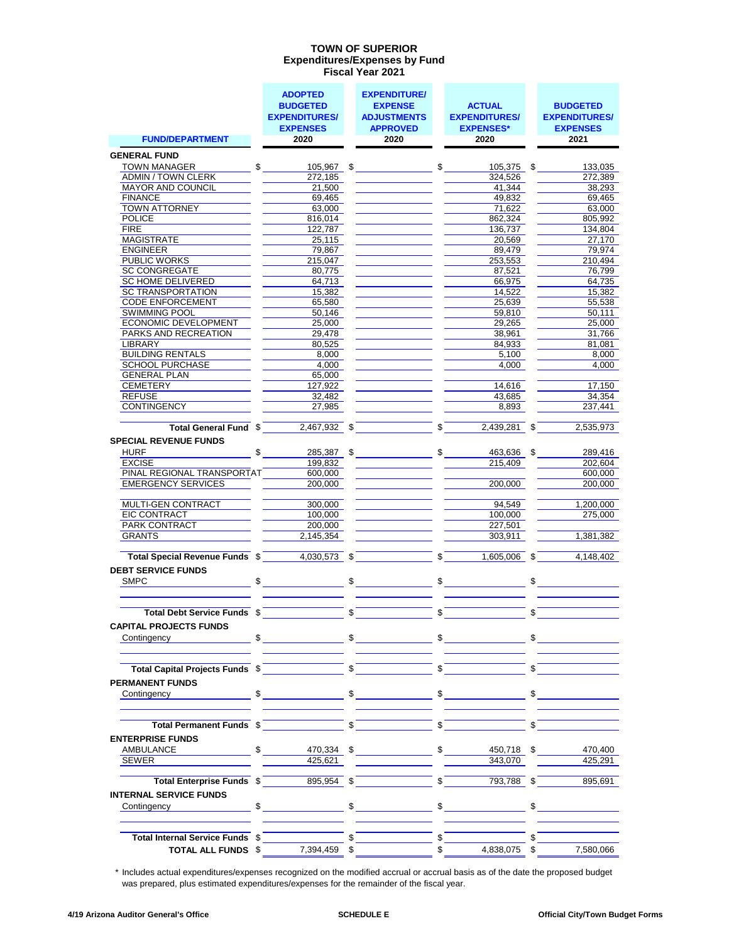#### **Expenditures/Expenses by Fund Fiscal Year 2021 TOWN OF SUPERIOR**

|                                                         | <b>ADOPTED</b><br><b>BUDGETED</b> | <b>EXPENDITURE/</b><br><b>EXPENSE</b> |                       | <b>ACTUAL</b>                      | <b>BUDGETED</b>         |
|---------------------------------------------------------|-----------------------------------|---------------------------------------|-----------------------|------------------------------------|-------------------------|
|                                                         | <b>EXPENDITURES/</b>              | <b>ADJUSTMENTS</b>                    |                       | <b>EXPENDITURES/</b>               | <b>EXPENDITURES/</b>    |
| <b>FUND/DEPARTMENT</b>                                  | <b>EXPENSES</b><br>2020           | <b>APPROVED</b><br>2020               |                       | <b>EXPENSES*</b><br>2020           | <b>EXPENSES</b><br>2021 |
| <b>GENERAL FUND</b>                                     |                                   |                                       |                       |                                    |                         |
| <b>TOWN MANAGER</b>                                     | $\sim$                            | $105,967$ \$                          |                       | $\frac{1}{\sqrt{2}}$<br>105,375 \$ | 133,035                 |
| <b>ADMIN / TOWN CLERK</b>                               | 272.185                           |                                       |                       | 324.526                            | 272,389                 |
| MAYOR AND COUNCIL                                       | 21,500                            |                                       |                       | 41,344                             | 38,293                  |
| <b>FINANCE</b>                                          | 69,465                            |                                       |                       | 49,832                             | 69,465                  |
| <b>TOWN ATTORNEY</b>                                    | 63,000                            |                                       |                       | 71,622                             | 63,000                  |
| <b>POLICE</b><br><b>FIRE</b>                            | 816,014<br>122,787                |                                       |                       | 862,324<br>136,737                 | 805,992<br>134,804      |
| MAGISTRATE                                              | 25.115                            |                                       |                       | 20.569                             | 27.170                  |
| <b>ENGINEER</b>                                         | 79,867                            |                                       |                       | 89,479                             | 79,974                  |
| <b>PUBLIC WORKS</b>                                     | 215,047                           |                                       |                       | 253,553                            | 210,494                 |
| <b>SC CONGREGATE</b>                                    | 80,775                            |                                       |                       | 87,521                             | 76,799                  |
| SC HOME DELIVERED                                       | 64,713                            |                                       |                       | 66,975                             | 64,735                  |
| <b>SC TRANSPORTATION</b>                                | 15,382                            |                                       |                       | 14,522                             | 15,382                  |
| <b>CODE ENFORCEMENT</b>                                 | 65,580                            |                                       |                       | 25,639                             | 55,538                  |
| <b>SWIMMING POOL</b>                                    | 50,146                            |                                       |                       | 59,810                             | 50,111                  |
| ECONOMIC DEVELOPMENT                                    | 25,000                            |                                       |                       | 29,265                             | 25.000                  |
| PARKS AND RECREATION                                    | 29,478                            |                                       |                       | 38,961                             | 31,766                  |
| LIBRARY                                                 | 80,525                            |                                       |                       | 84.933                             | 81,081                  |
| <b>BUILDING RENTALS</b>                                 | 8,000                             |                                       |                       | 5,100                              | 8,000                   |
| <b>SCHOOL PURCHASE</b>                                  | 4,000                             |                                       |                       | 4,000                              | 4,000                   |
| <b>GENERAL PLAN</b><br>CEMETERY                         | 65,000                            |                                       |                       |                                    |                         |
| <b>REFUSE</b>                                           | 127,922                           |                                       |                       | 14,616                             | 17,150<br>34.354        |
| <b>CONTINGENCY</b>                                      | 32,482<br>27,985                  |                                       |                       | 43,685<br>8,893                    | 237.441                 |
|                                                         |                                   |                                       |                       |                                    |                         |
| Total General Fund \$                                   | $2,467,932$ \$                    |                                       | \$                    | $2,439,281$ \$                     | 2,535,973               |
| <b>SPECIAL REVENUE FUNDS</b>                            |                                   |                                       |                       |                                    |                         |
| <b>HURF</b>                                             | \$<br>285,387 \$                  |                                       | $\Omega$ <sub>-</sub> | 463,636 \$                         | 289,416                 |
| EXCISE                                                  | 199,832                           |                                       |                       | 215,409                            | 202,604                 |
| PINAL REGIONAL TRANSPORTAT<br><b>EMERGENCY SERVICES</b> | 600,000<br>200,000                |                                       |                       | 200,000                            | 600,000<br>200,000      |
|                                                         |                                   |                                       |                       |                                    |                         |
| MULTI-GEN CONTRACT                                      | 300,000                           |                                       |                       | 94.549                             | 1,200,000               |
| EIC CONTRACT                                            | 100,000                           |                                       |                       | 100,000                            | 275,000                 |
| <b>PARK CONTRACT</b>                                    | 200,000                           |                                       |                       | 227,501                            |                         |
| <b>GRANTS</b>                                           | 2,145,354                         |                                       |                       | 303,911                            | 1,381,382               |
| Total Special Revenue Funds \$                          | 4,030,573 \$                      |                                       | \$                    | $1,605,006$ \$                     | 4,148,402               |
| <b>DEBT SERVICE FUNDS</b>                               |                                   |                                       |                       |                                    |                         |
| \$<br>SMPC                                              |                                   | \$                                    | $\frac{1}{2}$         |                                    | \$                      |
|                                                         |                                   |                                       |                       |                                    |                         |
| Total Debt Service Funds \$                             |                                   | \$                                    | \$                    |                                    | \$                      |
| <b>CAPITAL PROJECTS FUNDS</b>                           |                                   |                                       |                       |                                    |                         |
| Contingency                                             | $\frac{1}{2}$                     | $\sim$                                |                       | $\sim$                             | $\mathsf{S}$            |
|                                                         |                                   |                                       |                       |                                    |                         |
| Total Capital Projects Funds \$                         |                                   | \$                                    | \$                    |                                    | \$                      |
| <b>PERMANENT FUNDS</b>                                  |                                   |                                       |                       |                                    |                         |
| \$<br>Contingency                                       |                                   | $\frac{1}{2}$                         |                       | $\frac{1}{2}$                      | $\frac{1}{2}$           |
|                                                         |                                   |                                       |                       |                                    |                         |
|                                                         |                                   |                                       | \$                    |                                    | \$                      |
| Total Permanent Funds \$                                |                                   | \$                                    |                       |                                    |                         |
| <b>ENTERPRISE FUNDS</b>                                 |                                   |                                       |                       |                                    |                         |
| <b>AMBULANCE</b><br>\$                                  | 470,334                           | \$                                    | \$                    | 450,718 \$                         | 470,400                 |
| <b>SEWER</b>                                            | 425,621                           |                                       |                       | 343,070                            | 425,291                 |
| Total Enterprise Funds \$                               | 895,954 \$                        |                                       | \$                    | 793,788 \$                         | 895,691                 |
| <b>INTERNAL SERVICE FUNDS</b>                           |                                   |                                       |                       |                                    |                         |
| Contingency <b>Contingency</b>                          | $\sim$                            | \$                                    |                       | $\frac{1}{\sqrt{2}}$               | \$                      |
|                                                         |                                   |                                       |                       |                                    |                         |
| Total Internal Service Funds \$                         |                                   |                                       | \$                    |                                    |                         |
| TOTAL ALL FUNDS \$                                      | 7,394,459 \$                      |                                       | \$                    | 4,838,075 \$                       | 7,580,066               |
|                                                         |                                   |                                       |                       |                                    |                         |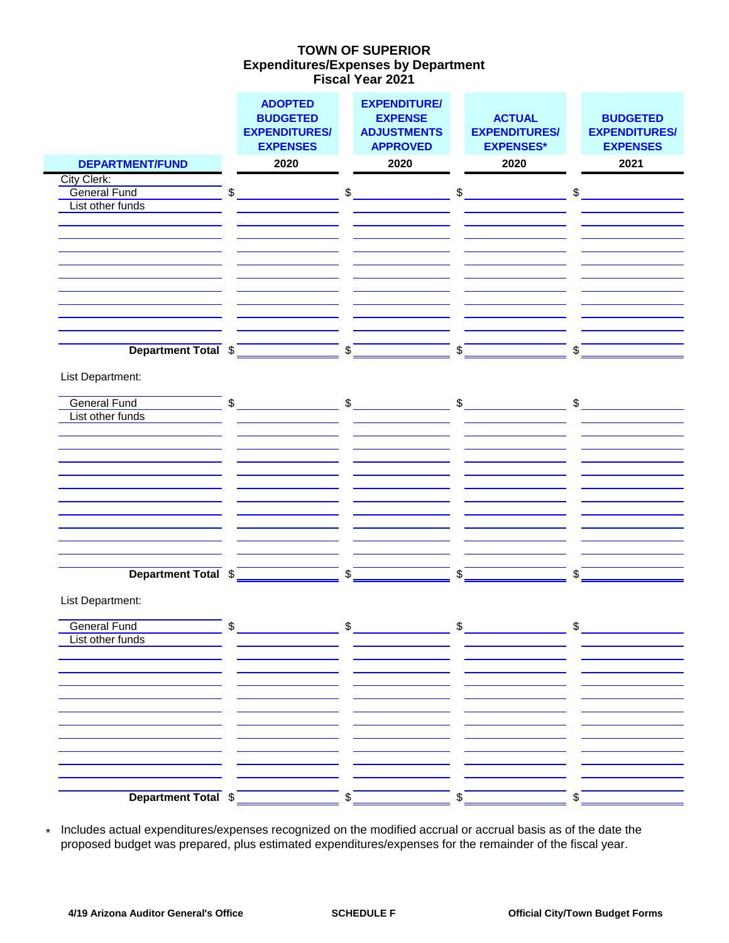### **Expenditures/Expenses by Department Fiscal Year 2021 TOWN OF SUPERIOR**

|                                         |                   | <b>ADOPTED</b><br><b>BUDGETED</b><br><b>EXPENDITURES/</b><br><b>EXPENSES</b> |                         | <b>EXPENDITURE/</b><br><b>EXPENSE</b><br><b>ADJUSTMENTS</b><br><b>APPROVED</b> |    | <b>ACTUAL</b><br><b>EXPENDITURES/</b><br><b>EXPENSES*</b> |              | <b>BUDGETED</b><br><b>EXPENDITURES/</b><br><b>EXPENSES</b> |
|-----------------------------------------|-------------------|------------------------------------------------------------------------------|-------------------------|--------------------------------------------------------------------------------|----|-----------------------------------------------------------|--------------|------------------------------------------------------------|
| <b>DEPARTMENT/FUND</b>                  |                   | 2020                                                                         |                         | 2020                                                                           |    | 2020                                                      |              | 2021                                                       |
| City Clerk:                             |                   |                                                                              |                         |                                                                                |    |                                                           |              |                                                            |
| <b>General Fund</b><br>List other funds | \$                |                                                                              | \$                      |                                                                                | \$ |                                                           | \$           |                                                            |
|                                         |                   |                                                                              |                         |                                                                                |    |                                                           |              |                                                            |
|                                         |                   |                                                                              |                         |                                                                                |    |                                                           |              |                                                            |
|                                         |                   |                                                                              |                         |                                                                                |    |                                                           |              |                                                            |
|                                         |                   |                                                                              |                         |                                                                                |    |                                                           |              |                                                            |
|                                         |                   |                                                                              |                         |                                                                                |    |                                                           |              |                                                            |
|                                         |                   |                                                                              |                         |                                                                                |    |                                                           |              |                                                            |
|                                         |                   |                                                                              |                         |                                                                                |    |                                                           |              |                                                            |
|                                         |                   |                                                                              |                         |                                                                                |    |                                                           |              |                                                            |
| Department Total \$                     |                   |                                                                              | \$                      |                                                                                | \$ |                                                           | \$           |                                                            |
|                                         |                   |                                                                              |                         |                                                                                |    |                                                           |              |                                                            |
| List Department:                        |                   |                                                                              |                         |                                                                                |    |                                                           |              |                                                            |
| <b>General Fund</b>                     |                   |                                                                              | $\mathsf{\$}$           |                                                                                |    |                                                           |              |                                                            |
| List other funds                        | \$                |                                                                              |                         |                                                                                |    | $\frac{1}{2}$                                             | $\mathsf{S}$ |                                                            |
|                                         |                   |                                                                              |                         |                                                                                |    |                                                           |              |                                                            |
|                                         |                   |                                                                              |                         |                                                                                |    |                                                           |              |                                                            |
|                                         |                   |                                                                              |                         |                                                                                |    |                                                           |              |                                                            |
|                                         |                   |                                                                              |                         |                                                                                |    |                                                           |              |                                                            |
|                                         |                   |                                                                              |                         |                                                                                |    |                                                           |              |                                                            |
|                                         |                   |                                                                              |                         |                                                                                |    |                                                           |              |                                                            |
|                                         |                   |                                                                              |                         |                                                                                |    |                                                           |              |                                                            |
|                                         |                   |                                                                              |                         |                                                                                |    |                                                           |              |                                                            |
|                                         |                   |                                                                              |                         |                                                                                |    |                                                           |              |                                                            |
| Department Total \$                     |                   |                                                                              | $\sqrt[6]{\frac{1}{2}}$ |                                                                                | \$ |                                                           | \$           |                                                            |
|                                         |                   |                                                                              |                         |                                                                                |    |                                                           |              |                                                            |
| List Department:                        |                   |                                                                              |                         |                                                                                |    |                                                           |              |                                                            |
| <b>General Fund</b>                     | $\mathbf{\sigma}$ |                                                                              | $\Phi$                  |                                                                                | ጥ  |                                                           | <b>↑</b>     |                                                            |
| List other funds                        |                   |                                                                              |                         |                                                                                |    |                                                           |              |                                                            |
|                                         |                   |                                                                              |                         |                                                                                |    |                                                           |              |                                                            |
|                                         |                   |                                                                              |                         |                                                                                |    |                                                           |              |                                                            |
|                                         |                   |                                                                              |                         |                                                                                |    |                                                           |              |                                                            |
|                                         |                   |                                                                              |                         |                                                                                |    |                                                           |              |                                                            |
|                                         |                   |                                                                              |                         |                                                                                |    |                                                           |              |                                                            |
|                                         |                   |                                                                              |                         |                                                                                |    |                                                           |              |                                                            |
|                                         |                   |                                                                              |                         |                                                                                |    |                                                           |              |                                                            |
|                                         |                   |                                                                              |                         |                                                                                |    |                                                           |              |                                                            |
|                                         |                   |                                                                              |                         |                                                                                |    |                                                           |              |                                                            |
| Department Total \$                     |                   |                                                                              | \$                      |                                                                                | \$ |                                                           | \$           |                                                            |